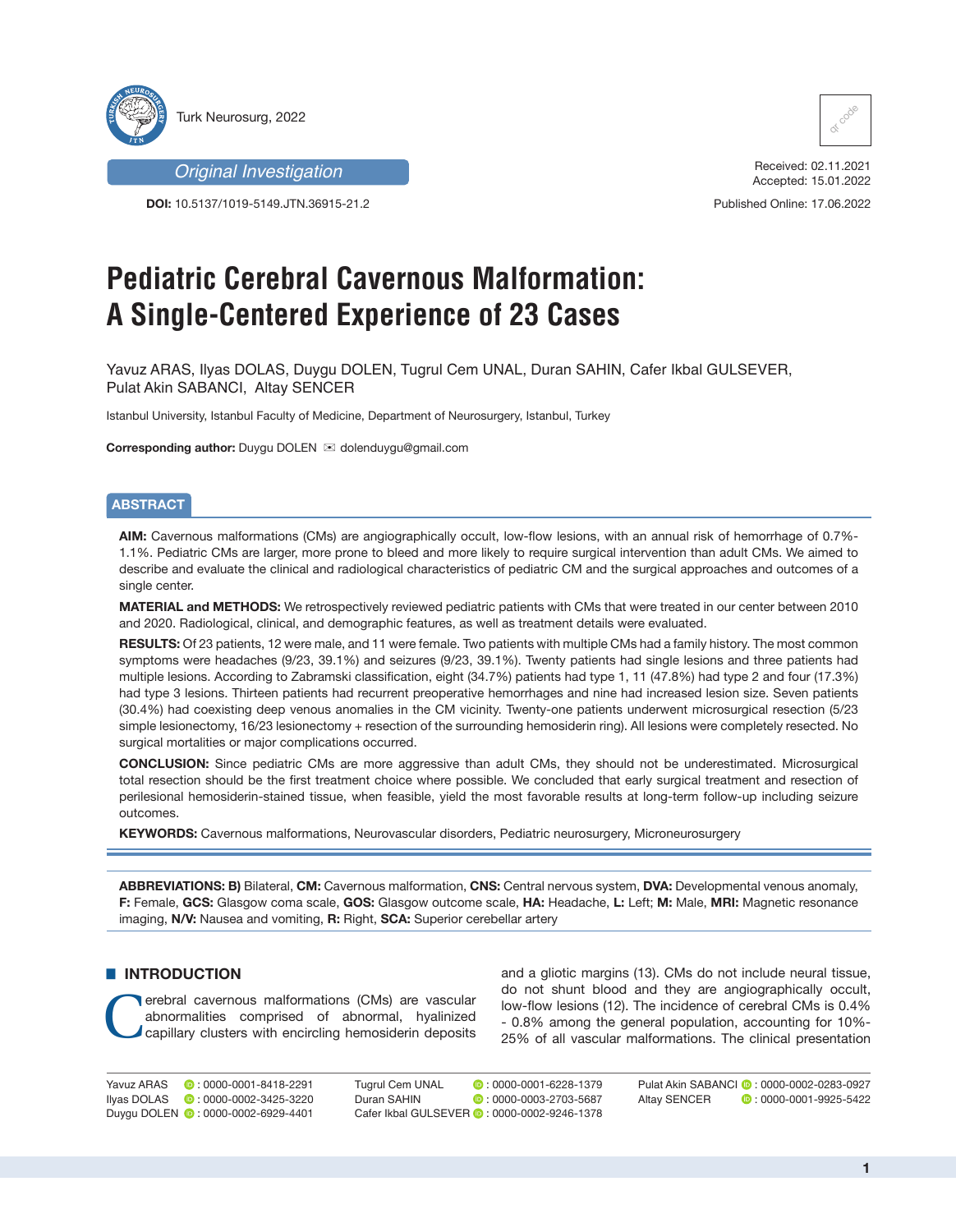

*Original Investigation*

**DOI:** 10.5137/1019-5149.JTN.36915-21.2



Received: 02.11.2021 Accepted: 15.01.2022

Published Online: 17.06.2022

# **Pediatric Cerebral Cavernous Malformation: A Single-Centered Experience of 23 Cases**

Yavuz ARAS, Ilyas DOLAS, Duygu DOLEN, Tugrul Cem UNAL, Duran SAHIN, Cafer Ikbal GULSEVER, Pulat Akin SABANCI, Altay SENCER

Istanbul University, Istanbul Faculty of Medicine, Department of Neurosurgery, Istanbul, Turkey

**Corresponding author:** Duygu DOLEN  $\boxtimes$  dolenduygu@gmail.com

# **ABSTRACT**

**AIM:** Cavernous malformations (CMs) are angiographically occult, low-flow lesions, with an annual risk of hemorrhage of 0.7%- 1.1%. Pediatric CMs are larger, more prone to bleed and more likely to require surgical intervention than adult CMs. We aimed to describe and evaluate the clinical and radiological characteristics of pediatric CM and the surgical approaches and outcomes of a single center.

**MATERIAL and METHODS:** We retrospectively reviewed pediatric patients with CMs that were treated in our center between 2010 and 2020. Radiological, clinical, and demographic features, as well as treatment details were evaluated.

**RESULTS:** Of 23 patients, 12 were male, and 11 were female. Two patients with multiple CMs had a family history. The most common symptoms were headaches (9/23, 39.1%) and seizures (9/23, 39.1%). Twenty patients had single lesions and three patients had multiple lesions. According to Zabramski classification, eight (34.7%) patients had type 1, 11 (47.8%) had type 2 and four (17.3%) had type 3 lesions. Thirteen patients had recurrent preoperative hemorrhages and nine had increased lesion size. Seven patients (30.4%) had coexisting deep venous anomalies in the CM vicinity. Twenty-one patients underwent microsurgical resection (5/23 simple lesionectomy, 16/23 lesionectomy + resection of the surrounding hemosiderin ring). All lesions were completely resected. No surgical mortalities or major complications occurred.

**CONCLUSION:** Since pediatric CMs are more aggressive than adult CMs, they should not be underestimated. Microsurgical total resection should be the first treatment choice where possible. We concluded that early surgical treatment and resection of perilesional hemosiderin-stained tissue, when feasible, yield the most favorable results at long-term follow-up including seizure outcomes.

**KEYWORDS:** Cavernous malformations, Neurovascular disorders, Pediatric neurosurgery, Microneurosurgery

**ABBREVIATIONS: B)** Bilateral, **CM:** Cavernous malformation, **CNS:** Central nervous system, **DVA:** Developmental venous anomaly, **F:** Female, **GCS:** Glasgow coma scale, **GOS:** Glasgow outcome scale, **HA:** Headache, **L:** Left; **M:** Male, **MRI:** Magnetic resonance imaging, **N/V:** Nausea and vomiting, **R:** Right, **SCA:** Superior cerebellar artery

# **E INTRODUCTION**

erebral cavernous malformations (CMs) are vascular abnormalities comprised of abnormal, hyalinized capillary clusters with encircling hemosiderin deposits abnormalities comprised of abnormal, hyalinized

and a gliotic margins (13). CMs do not include neural tissue, do not shunt blood and they are angiographically occult, low-flow lesions (12). The incidence of cerebral CMs is 0.4% - 0.8% among the general population, accounting for 10%- 25% of all vascular malformations. The clinical presentation

Yavuz ARAS **: 0000-0001-8418-2291** Ilyas DOLAS **:** 0000-0002-3425-3220 Duygu DOLEN **:** 0000-0002-6929-4401

Tugrul Cem UNAL **:** 0000-0001-6228-1379<br>Duran SAHIN **:** 0000-0003-2703-5687  $\bullet$  : 0000-0003-2703-5687 Cafer Ikbal GULSEVER **D** · 0000-0002-9246-1378

Pulat Akin SABANCI **D**: 0000-0002-0283-0927 Altay SENCER **:** 0000-0001-9925-5422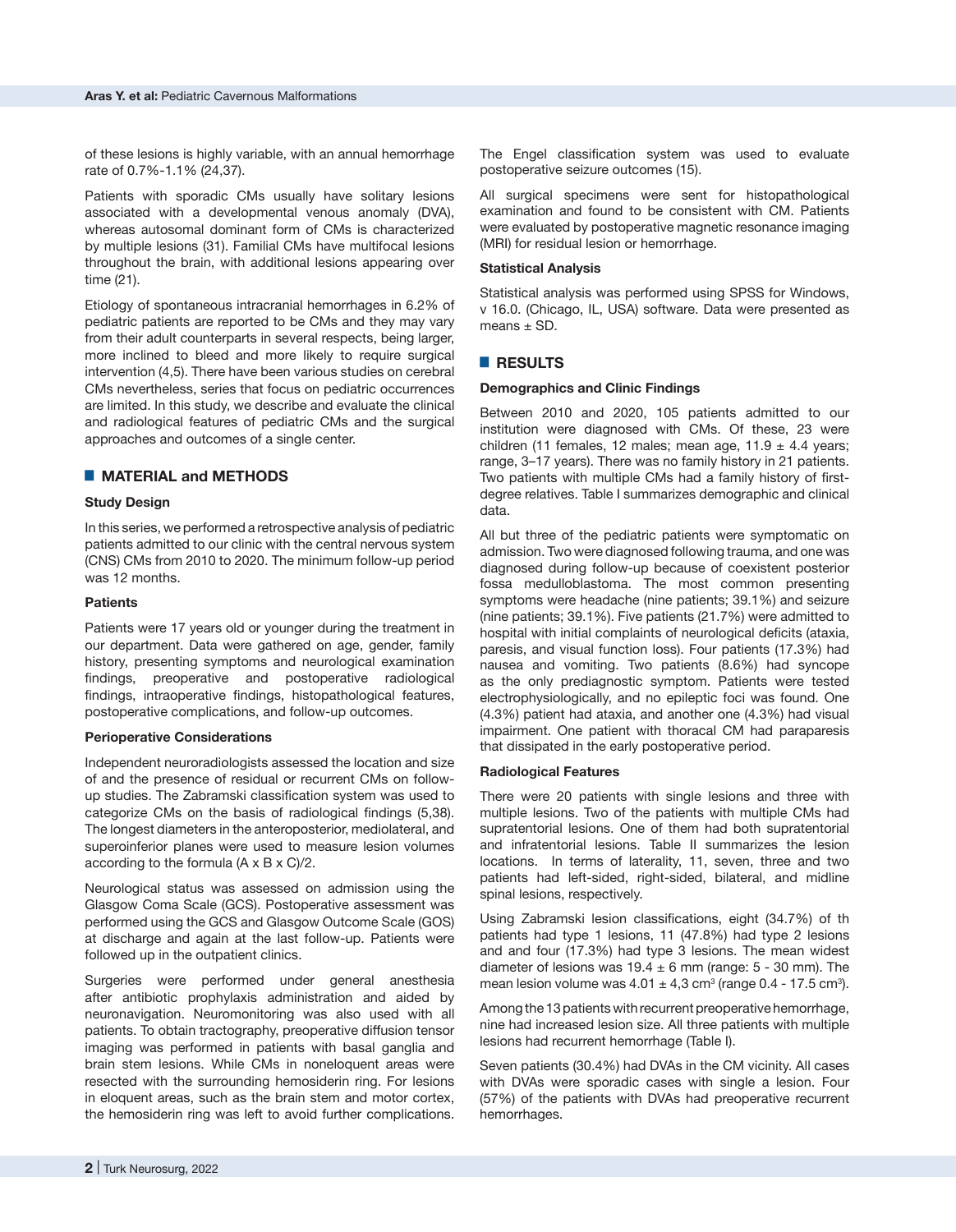of these lesions is highly variable, with an annual hemorrhage rate of 0.7%-1.1% (24,37).

Patients with sporadic CMs usually have solitary lesions associated with a developmental venous anomaly (DVA), whereas autosomal dominant form of CMs is characterized by multiple lesions (31). Familial CMs have multifocal lesions throughout the brain, with additional lesions appearing over time (21).

Etiology of spontaneous intracranial hemorrhages in 6.2% of pediatric patients are reported to be CMs and they may vary from their adult counterparts in several respects, being larger, more inclined to bleed and more likely to require surgical intervention (4,5). There have been various studies on cerebral CMs nevertheless, series that focus on pediatric occurrences are limited. In this study, we describe and evaluate the clinical and radiological features of pediatric CMs and the surgical approaches and outcomes of a single center.

# █ **MATERIAL and METHODS**

# **Study Design**

In this series, we performed a retrospective analysis of pediatric patients admitted to our clinic with the central nervous system (CNS) CMs from 2010 to 2020. The minimum follow-up period was 12 months.

#### **Patients**

Patients were 17 years old or younger during the treatment in our department. Data were gathered on age, gender, family history, presenting symptoms and neurological examination findings, preoperative and postoperative radiological findings, intraoperative findings, histopathological features, postoperative complications, and follow-up outcomes.

#### **Perioperative Considerations**

Independent neuroradiologists assessed the location and size of and the presence of residual or recurrent CMs on followup studies. The Zabramski classification system was used to categorize CMs on the basis of radiological findings (5,38). The longest diameters in the anteroposterior, mediolateral, and superoinferior planes were used to measure lesion volumes according to the formula (A x B x C)/2.

Neurological status was assessed on admission using the Glasgow Coma Scale (GCS). Postoperative assessment was performed using the GCS and Glasgow Outcome Scale (GOS) at discharge and again at the last follow-up. Patients were followed up in the outpatient clinics.

Surgeries were performed under general anesthesia after antibiotic prophylaxis administration and aided by neuronavigation. Neuromonitoring was also used with all patients. To obtain tractography, preoperative diffusion tensor imaging was performed in patients with basal ganglia and brain stem lesions. While CMs in noneloquent areas were resected with the surrounding hemosiderin ring. For lesions in eloquent areas, such as the brain stem and motor cortex, the hemosiderin ring was left to avoid further complications.

The Engel classification system was used to evaluate postoperative seizure outcomes (15).

All surgical specimens were sent for histopathological examination and found to be consistent with CM. Patients were evaluated by postoperative magnetic resonance imaging (MRI) for residual lesion or hemorrhage.

# **Statistical Analysis**

Statistical analysis was performed using SPSS for Windows, v 16.0. (Chicago, IL, USA) software. Data were presented as means  $\pm$  SD.

# █ **RESULTS**

# **Demographics and Clinic Findings**

Between 2010 and 2020, 105 patients admitted to our institution were diagnosed with CMs. Of these, 23 were children (11 females, 12 males; mean age, 11.9  $\pm$  4.4 years; range, 3–17 years). There was no family history in 21 patients. Two patients with multiple CMs had a family history of firstdegree relatives. Table I summarizes demographic and clinical data.

All but three of the pediatric patients were symptomatic on admission. Two were diagnosed following trauma, and one was diagnosed during follow-up because of coexistent posterior fossa medulloblastoma. The most common presenting symptoms were headache (nine patients; 39.1%) and seizure (nine patients; 39.1%). Five patients (21.7%) were admitted to hospital with initial complaints of neurological deficits (ataxia, paresis, and visual function loss). Four patients (17.3%) had nausea and vomiting. Two patients (8.6%) had syncope as the only prediagnostic symptom. Patients were tested electrophysiologically, and no epileptic foci was found. One (4.3%) patient had ataxia, and another one (4.3%) had visual impairment. One patient with thoracal CM had paraparesis that dissipated in the early postoperative period.

#### **Radiological Features**

There were 20 patients with single lesions and three with multiple lesions. Two of the patients with multiple CMs had supratentorial lesions. One of them had both supratentorial and infratentorial lesions. Table II summarizes the lesion locations. In terms of laterality, 11, seven, three and two patients had left-sided, right-sided, bilateral, and midline spinal lesions, respectively.

Using Zabramski lesion classifications, eight (34.7%) of th patients had type 1 lesions, 11 (47.8%) had type 2 lesions and and four (17.3%) had type 3 lesions. The mean widest diameter of lesions was  $19.4 \pm 6$  mm (range: 5 - 30 mm). The mean lesion volume was  $4.01 \pm 4.3$  cm<sup>3</sup> (range 0.4 - 17.5 cm<sup>3</sup>).

Among the 13 patients with recurrent preoperative hemorrhage, nine had increased lesion size. All three patients with multiple lesions had recurrent hemorrhage (Table I).

Seven patients (30.4%) had DVAs in the CM vicinity. All cases with DVAs were sporadic cases with single a lesion. Four (57%) of the patients with DVAs had preoperative recurrent hemorrhages.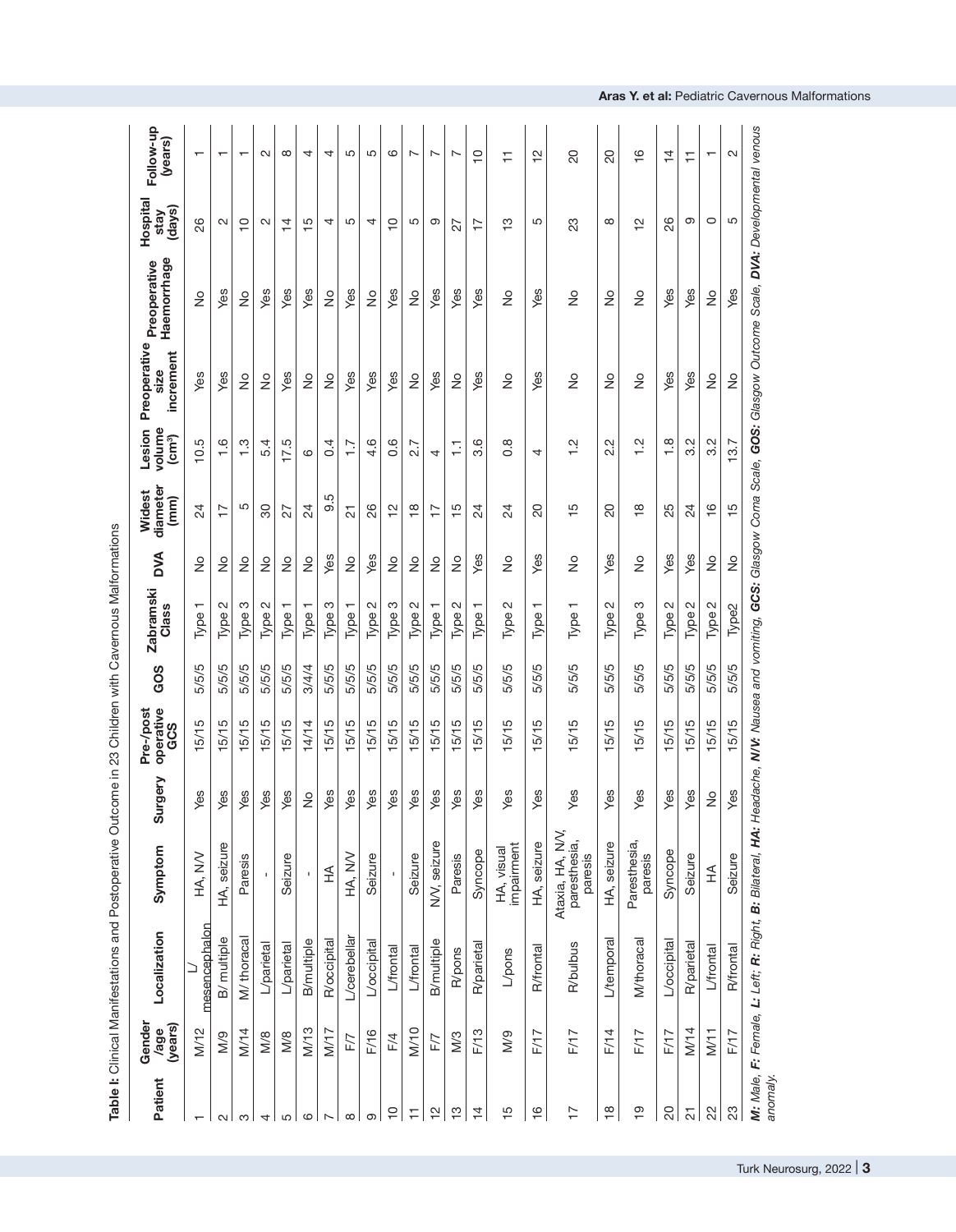|                          |                           | <b>CONTRACT CONTRACT CONTRACT CONTRACT CONTRACT CONTRACT CONTRACT CONTRACT CONTRACT CONTRACT CONTRACT CONTRACT CONTRACT CONTRACT CONTRACT CONTRACT CONTRACT CONTRACT CONTRACT CONTRACT CONTRACT CONTRACT CONTRACT CONTRACT CONTR</b> |                                            |                            | lournation of the state of the state of the state of the state of the state of the state of the state of the state of the state of the state of the state of the state of the state of the state of the state of the state of |       |                                               |               |                                      |                                                |                           |                             |                           |                          |
|--------------------------|---------------------------|--------------------------------------------------------------------------------------------------------------------------------------------------------------------------------------------------------------------------------------|--------------------------------------------|----------------------------|-------------------------------------------------------------------------------------------------------------------------------------------------------------------------------------------------------------------------------|-------|-----------------------------------------------|---------------|--------------------------------------|------------------------------------------------|---------------------------|-----------------------------|---------------------------|--------------------------|
| Patient                  | Gender<br>(years)<br>/age | Localization                                                                                                                                                                                                                         | Symptom                                    | Ale<br>Surg                | operative<br>Pre-/post<br>GCS                                                                                                                                                                                                 | GOS   | <b>Zabramski</b><br>Class                     | <b>AVO</b>    | diameter<br>Widest<br>(mm)           | volume<br>Lesion<br>$\left(\text{cm}^3\right)$ | Preoperative<br>increment | Haemorrhage<br>Preoperative | Hospita<br>(days)<br>stay | Follow-up<br>(years)     |
| $\overline{\phantom{0}}$ | M/12                      | mesencephalon                                                                                                                                                                                                                        | HA, NV                                     | Yes                        | 15/15                                                                                                                                                                                                                         | 5/5/5 | Type <sub>1</sub>                             | $\frac{1}{2}$ | 24                                   | 10.5                                           | Yes                       | $\frac{1}{2}$               | 82                        | $\overline{\phantom{0}}$ |
| $\sim$                   | $\frac{8}{2}$             | B/ multiple                                                                                                                                                                                                                          | HA, seizure                                | Yes                        | 15/15                                                                                                                                                                                                                         | 5/5/5 | Type 2                                        | $\frac{1}{2}$ | $\overline{1}$                       | $\frac{6}{1}$                                  | Yes                       | Yes                         | $\mathbf{\Omega}$         | $\overline{\phantom{0}}$ |
| S                        | M/14                      | M/thoracal                                                                                                                                                                                                                           | Paresis                                    | Yes                        | 5/15                                                                                                                                                                                                                          | 5/5/5 | Type 3                                        | $\frac{1}{2}$ | 5                                    | $\frac{3}{1}$                                  | $\frac{1}{2}$             | $\frac{1}{2}$               | $\overline{C}$            | $\overline{\phantom{0}}$ |
| 4                        | M/8                       | L/parietal                                                                                                                                                                                                                           |                                            | Yes                        | 15/15                                                                                                                                                                                                                         | 5/5/5 | Type 2                                        | $\frac{1}{2}$ | 80                                   | 5.4                                            | $\frac{1}{2}$             | Yes                         | $\mathbf{\Omega}$         | $\sim$                   |
| 5                        | M/8                       | L/parietal                                                                                                                                                                                                                           | Seizure                                    | Yes                        | 15/15                                                                                                                                                                                                                         | 5/5/5 | Type 1                                        | $\frac{1}{2}$ | 27                                   | 17.5                                           | Yes                       | Yes                         | 4                         | $\infty$                 |
| $\mathbf{\circ}$         | M/13                      | <b>B/multiple</b>                                                                                                                                                                                                                    |                                            | $\stackrel{\circ}{\simeq}$ | 14/14                                                                                                                                                                                                                         | 3/4/4 | ᠇<br>Type <sup>-</sup>                        | $\frac{1}{2}$ | 24                                   | ဖ                                              | $\frac{1}{2}$             | Yes                         | Ю<br>T                    | 4                        |
| $\sim$                   | N/17                      | <b>R</b> /occipital                                                                                                                                                                                                                  | ≨                                          | Yes                        | 15/15                                                                                                                                                                                                                         | 5/5/5 | Type 3                                        | Yes           | 9.5                                  | $\sim 4$                                       | ş                         | ş                           | 4                         | 4                        |
| $\infty$                 | F/7                       | L/cerebellar                                                                                                                                                                                                                         | HA, NV                                     | Yes                        | 5/15                                                                                                                                                                                                                          | 5/5/5 | $\overline{\phantom{0}}$<br>Type <sup>-</sup> | $\frac{1}{2}$ | $\overline{c}$                       | $\overline{1}$ .                               | Yes                       | Yes                         | 5                         | 5                        |
| ၜ                        | F/16                      | L/occipital                                                                                                                                                                                                                          | Seizure                                    | Yes                        | 5/15                                                                                                                                                                                                                          | 5/5/5 | Type 2                                        | Yes           | 26                                   | 4.6                                            | Yes                       | $\frac{1}{2}$               | 4                         | 5                        |
| $\frac{1}{2}$            | F/4                       | L/frontal                                                                                                                                                                                                                            |                                            | Yes                        | 5/15                                                                                                                                                                                                                          | 5/5/5 | Type 3                                        | $\frac{1}{2}$ | 으                                    | 0.6                                            | Yes                       | Yes                         | $\circ$                   | 6                        |
| Ξ                        | M/10                      | L/frontal                                                                                                                                                                                                                            | Seizure                                    | Yes                        | 5/15                                                                                                                                                                                                                          | 5/5/5 | $\mathbf{\Omega}$<br>Type:                    | $\frac{1}{2}$ | $\infty$<br>$\overline{\phantom{0}}$ | $\overline{ }$<br>$\alpha$                     | $\frac{1}{2}$             | $\frac{1}{2}$               | 5                         | $\overline{ }$           |
| 은                        | F/7                       | B/multiple                                                                                                                                                                                                                           | NV, seizure                                | Yes                        | 5/15                                                                                                                                                                                                                          | 5/5/5 | Type 1                                        | ş             | $\overline{1}$                       | 4                                              | Yes                       | Yes                         | ၜ                         | $\sim$                   |
| $\frac{1}{2}$            | M/3                       | R/pons                                                                                                                                                                                                                               | Paresis                                    | Yes                        | 5/15                                                                                                                                                                                                                          | 5/5/5 | Type 2                                        | $\frac{1}{2}$ | $\frac{15}{1}$                       | H                                              | $\frac{1}{2}$             | Yes                         | 27                        | $\overline{ }$           |
| $\overline{4}$           | F/13                      | R/parietal                                                                                                                                                                                                                           | Syncope                                    | Yes                        | 5/15                                                                                                                                                                                                                          | 5/5/5 | Type                                          | Yes           | 24                                   | 3.6                                            | Yes                       | Yes                         | $\overline{1}$            | $\frac{1}{1}$            |
| $\frac{5}{1}$            | $\frac{6}{10}$            | L/pons                                                                                                                                                                                                                               | impairment<br>HA, visual                   | Yes                        | 5/15                                                                                                                                                                                                                          | 5/5/5 | Type 2                                        | $\frac{1}{2}$ | 24                                   | $0.\overline{8}$                               | $\frac{1}{2}$             | $\frac{1}{2}$               | က                         | Ξ                        |
| $\frac{6}{1}$            | F/17                      | <b>R</b> /frontal                                                                                                                                                                                                                    | HA, seizure                                | Yes                        | 5/15                                                                                                                                                                                                                          | 5/5/5 | ┯<br>Type                                     | Yes           | 20                                   | 4                                              | Yes                       | Yes                         | 5                         | 으                        |
| $\overline{1}$           | F/17                      | <b>R/bulbus</b>                                                                                                                                                                                                                      | Ataxia, HA, NV,<br>paresthesia,<br>paresis | w<br>قح                    | 5/15                                                                                                                                                                                                                          | 5/5/5 | Type <sub>1</sub>                             | $\frac{1}{2}$ | $\frac{5}{1}$                        | Ņ                                              | $\frac{1}{2}$             | $\frac{1}{2}$               | 23                        | 20                       |
| $\frac{8}{1}$            | F/14                      | L/temporal                                                                                                                                                                                                                           | HA, seizure                                | w<br>قح                    | 5/15                                                                                                                                                                                                                          | 5/5/5 | $\mathbf{\Omega}$<br>Type:                    | Yes           | 20                                   | Ņ<br>$\sim$                                    | $\frac{1}{2}$             | $\frac{1}{2}$               | $\infty$                  | 20                       |
| $\frac{0}{1}$            | F/17                      | M/thoracal                                                                                                                                                                                                                           | Paresthesia,<br>paresis                    | S<br>قح                    | 5/15                                                                                                                                                                                                                          | 5/5/5 | Type 3                                        | $\frac{1}{2}$ | $\frac{\infty}{\infty}$              | Ņ<br>$\overline{ }$                            | $\frac{1}{2}$             | $\frac{1}{2}$               | $\overline{\mathsf{c}}$   | $\frac{6}{5}$            |
| $\overline{\mathcal{S}}$ | F/17                      | L/occipital                                                                                                                                                                                                                          | Syncope                                    | w<br>قح                    | 5/15                                                                                                                                                                                                                          | 5/5/5 | Type 2                                        | Yes           | 25                                   | $\frac{8}{1}$                                  | Yes                       | Yes                         | 26                        | $\overline{4}$           |
| $\overline{\mathcal{C}}$ | M/14                      | R/parietal                                                                                                                                                                                                                           | Seizure                                    | w<br>قح                    | 5/15                                                                                                                                                                                                                          | 5/5/5 | Type 2                                        | Yes           | $\overline{24}$                      | $3.\overline{2}$                               | Yes                       | Yes                         | ၜ                         | ₣                        |
| $\frac{2}{3}$            | M/11                      | L'frontal                                                                                                                                                                                                                            | $\widetilde{\pm}$                          | $\frac{1}{2}$              | 15/15                                                                                                                                                                                                                         | 5/5/5 | Type 2                                        | $\frac{1}{2}$ | $\frac{6}{1}$                        | 3.2                                            | $\frac{1}{2}$             | $\frac{1}{2}$               | O                         | $\overline{\phantom{0}}$ |
| 23                       | F/17                      | <b>R</b> /frontal                                                                                                                                                                                                                    | Seizure                                    | Yes                        | 15/15                                                                                                                                                                                                                         | 5/5/5 | Type <sub>2</sub>                             | $\frac{1}{2}$ | $\frac{1}{2}$                        | 13.7                                           | $\frac{1}{2}$             | Yes                         | 5                         | $\sim$                   |
| anomaly.                 |                           | M. Male, F. Fernale, L: Left, R: Right, B: Bilateral, HA: Headache, NVV: Nausse and vomiting, GCS: Glasgow Coma Scale, GOS: Glasgow Outcome Scale, DVA: Developmental venous                                                         |                                            |                            |                                                                                                                                                                                                                               |       |                                               |               |                                      |                                                |                           |                             |                           |                          |

**Aras Y. et al :** Pediatric Cavernous Malformations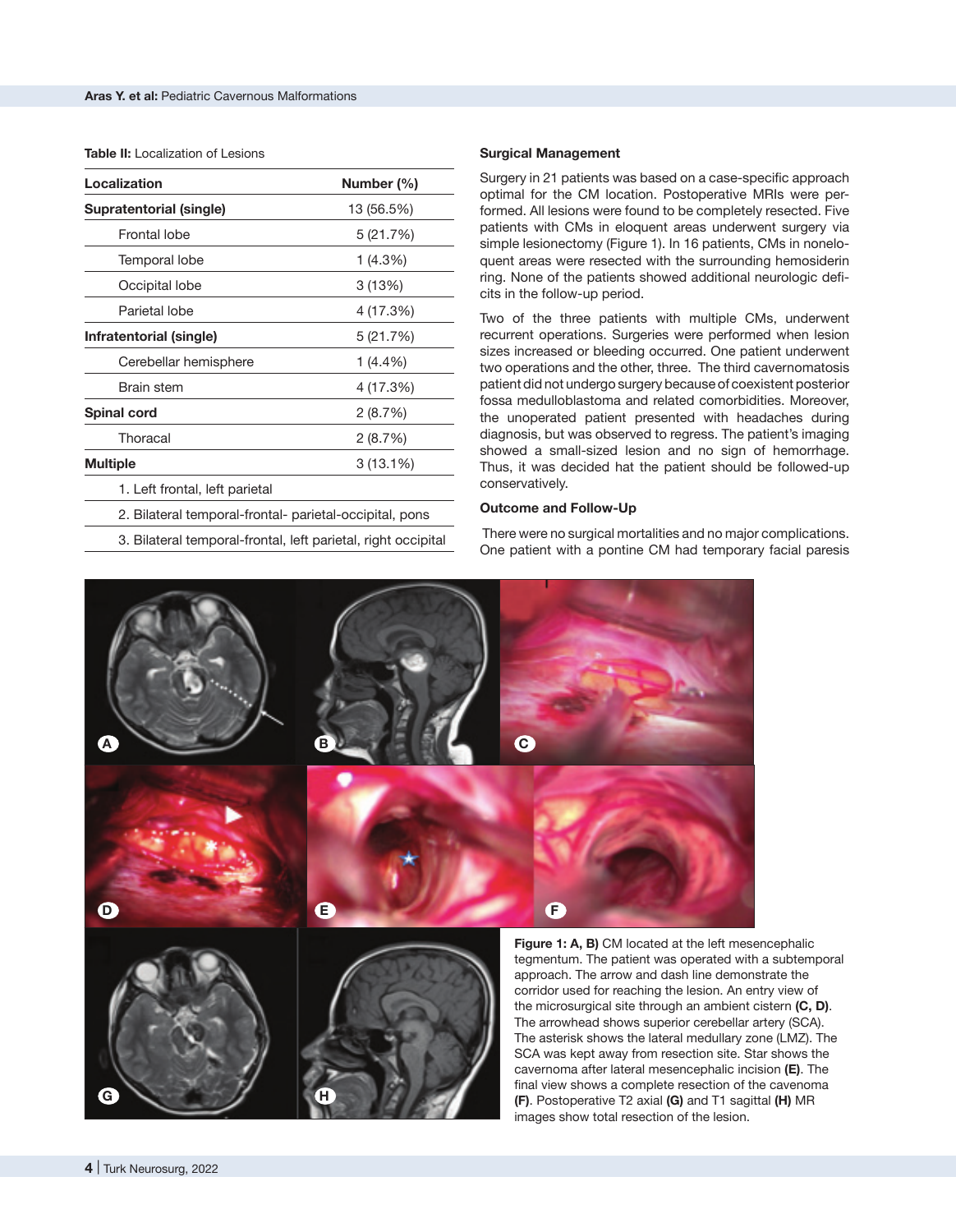#### **Table II:** Localization of Lesions

| Localization                                                  | Number (%)  |
|---------------------------------------------------------------|-------------|
| Supratentorial (single)                                       | 13 (56.5%)  |
| <b>Frontal lobe</b>                                           | 5 (21.7%)   |
| Temporal lobe                                                 | 1 (4.3%)    |
| Occipital lobe                                                | 3(13%)      |
| Parietal lobe                                                 | 4 (17.3%)   |
| Infratentorial (single)                                       | 5 (21.7%)   |
| Cerebellar hemisphere                                         | 1 (4.4%)    |
| <b>Brain stem</b>                                             | 4 (17.3%)   |
| <b>Spinal cord</b>                                            | 2(8.7%)     |
| Thoracal                                                      | 2(8.7%)     |
| <b>Multiple</b>                                               | $3(13.1\%)$ |
| 1. Left frontal, left parietal                                |             |
| 2. Bilateral temporal-frontal- parietal-occipital, pons       |             |
| 3. Bilateral temporal-frontal, left parietal, right occipital |             |

**Surgical Management**

Surgery in 21 patients was based on a case-specific approach optimal for the CM location. Postoperative MRIs were performed. All lesions were found to be completely resected. Five patients with CMs in eloquent areas underwent surgery via simple lesionectomy (Figure 1). In 16 patients, CMs in noneloquent areas were resected with the surrounding hemosiderin ring. None of the patients showed additional neurologic deficits in the follow-up period.

Two of the three patients with multiple CMs, underwent recurrent operations. Surgeries were performed when lesion sizes increased or bleeding occurred. One patient underwent two operations and the other, three. The third cavernomatosis patient did not undergo surgery because of coexistent posterior fossa medulloblastoma and related comorbidities. Moreover, the unoperated patient presented with headaches during diagnosis, but was observed to regress. The patient's imaging showed a small-sized lesion and no sign of hemorrhage. Thus, it was decided hat the patient should be followed-up conservatively.

#### **Outcome and Follow-Up**

 There were no surgical mortalities and no major complications. One patient with a pontine CM had temporary facial paresis



tegmentum. The patient was operated with a subtemporal approach. The arrow and dash line demonstrate the corridor used for reaching the lesion. An entry view of the microsurgical site through an ambient cistern **(C, D)**. The arrowhead shows superior cerebellar artery (SCA). The asterisk shows the lateral medullary zone (LMZ). The SCA was kept away from resection site. Star shows the cavernoma after lateral mesencephalic incision **(E)**. The final view shows a complete resection of the cavenoma **(F)**. Postoperative T2 axial **(G)** and T1 sagittal **(H)** MR images show total resection of the lesion.

**G H**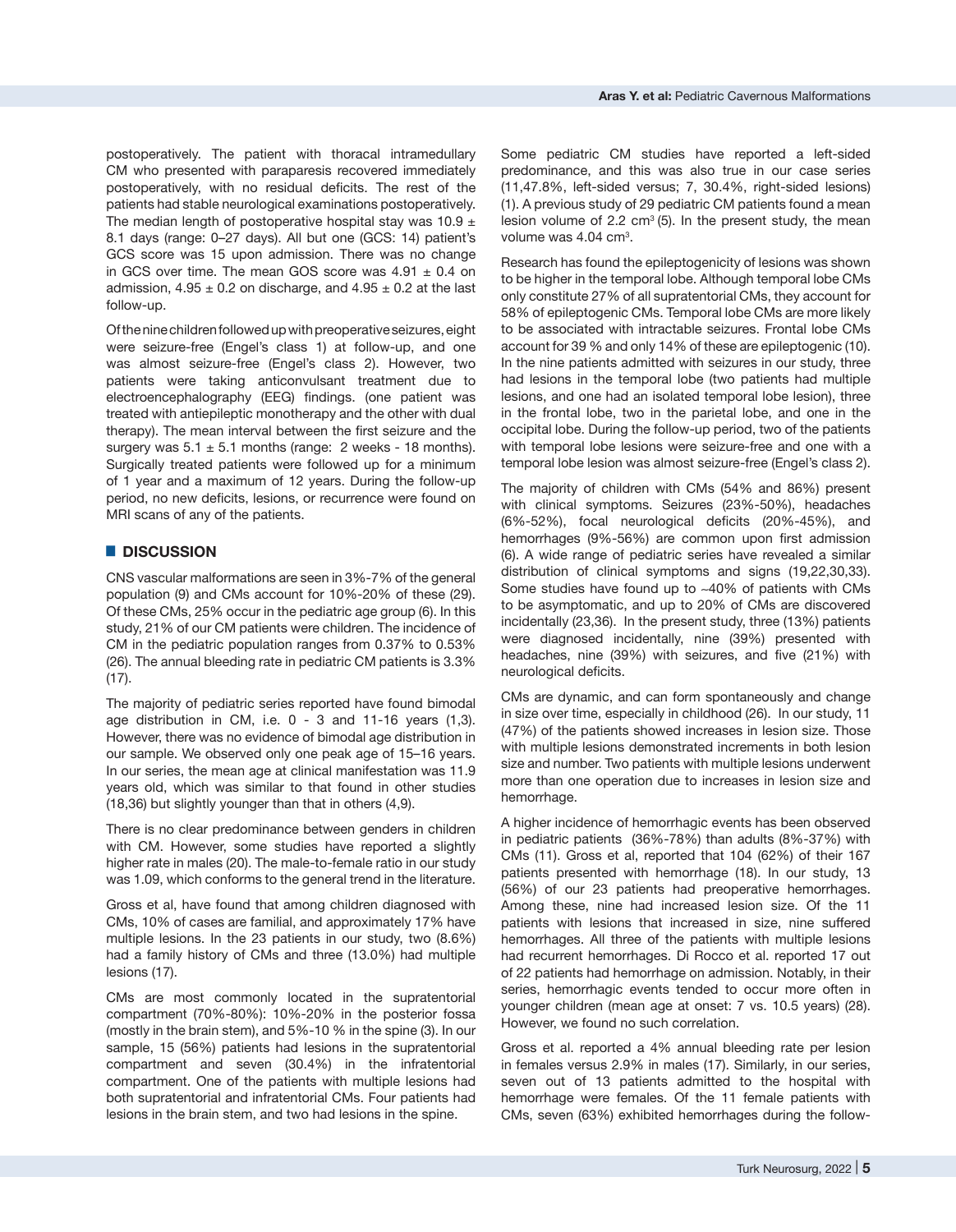postoperatively. The patient with thoracal intramedullary CM who presented with paraparesis recovered immediately postoperatively, with no residual deficits. The rest of the patients had stable neurological examinations postoperatively. The median length of postoperative hospital stay was 10.9  $\pm$ 8.1 days (range: 0–27 days). All but one (GCS: 14) patient's GCS score was 15 upon admission. There was no change in GCS over time. The mean GOS score was  $4.91 \pm 0.4$  on admission,  $4.95 \pm 0.2$  on discharge, and  $4.95 \pm 0.2$  at the last follow-up.

Of the nine children followed up with preoperative seizures, eight were seizure-free (Engel's class 1) at follow-up, and one was almost seizure-free (Engel's class 2). However, two patients were taking anticonvulsant treatment due to electroencephalography (EEG) findings. (one patient was treated with antiepileptic monotherapy and the other with dual therapy). The mean interval between the first seizure and the surgery was  $5.1 \pm 5.1$  months (range: 2 weeks - 18 months). Surgically treated patients were followed up for a minimum of 1 year and a maximum of 12 years. During the follow-up period, no new deficits, lesions, or recurrence were found on MRI scans of any of the patients.

# █ **DISCUSSION**

CNS vascular malformations are seen in 3%-7% of the general population (9) and CMs account for 10%-20% of these (29). Of these CMs, 25% occur in the pediatric age group (6). In this study, 21% of our CM patients were children. The incidence of CM in the pediatric population ranges from 0.37% to 0.53% (26). The annual bleeding rate in pediatric CM patients is 3.3% (17).

The majority of pediatric series reported have found bimodal age distribution in CM, i.e. 0 - 3 and 11-16 years (1,3). However, there was no evidence of bimodal age distribution in our sample. We observed only one peak age of 15–16 years. In our series, the mean age at clinical manifestation was 11.9 years old, which was similar to that found in other studies (18,36) but slightly younger than that in others (4,9).

There is no clear predominance between genders in children with CM. However, some studies have reported a slightly higher rate in males (20). The male-to-female ratio in our study was 1.09, which conforms to the general trend in the literature.

Gross et al, have found that among children diagnosed with CMs, 10% of cases are familial, and approximately 17% have multiple lesions. In the 23 patients in our study, two (8.6%) had a family history of CMs and three (13.0%) had multiple lesions (17).

CMs are most commonly located in the supratentorial compartment (70%-80%): 10%-20% in the posterior fossa (mostly in the brain stem), and 5%-10 % in the spine (3). In our sample, 15 (56%) patients had lesions in the supratentorial compartment and seven (30.4%) in the infratentorial compartment. One of the patients with multiple lesions had both supratentorial and infratentorial CMs. Four patients had lesions in the brain stem, and two had lesions in the spine.

Some pediatric CM studies have reported a left-sided predominance, and this was also true in our case series (11,47.8%, left-sided versus; 7, 30.4%, right-sided lesions) (1). A previous study of 29 pediatric CM patients found a mean lesion volume of 2.2  $cm<sup>3</sup>$  (5). In the present study, the mean volume was  $4.04 \text{ cm}^3$ .

Research has found the epileptogenicity of lesions was shown to be higher in the temporal lobe. Although temporal lobe CMs only constitute 27% of all supratentorial CMs, they account for 58% of epileptogenic CMs. Temporal lobe CMs are more likely to be associated with intractable seizures. Frontal lobe CMs account for 39 % and only 14% of these are epileptogenic (10). In the nine patients admitted with seizures in our study, three had lesions in the temporal lobe (two patients had multiple lesions, and one had an isolated temporal lobe lesion), three in the frontal lobe, two in the parietal lobe, and one in the occipital lobe. During the follow-up period, two of the patients with temporal lobe lesions were seizure-free and one with a temporal lobe lesion was almost seizure-free (Engel's class 2).

The majority of children with CMs (54% and 86%) present with clinical symptoms. Seizures (23%-50%), headaches (6%-52%), focal neurological deficits (20%-45%), and hemorrhages (9%-56%) are common upon first admission (6). A wide range of pediatric series have revealed a similar distribution of clinical symptoms and signs (19,22,30,33). Some studies have found up to ∼40% of patients with CMs to be asymptomatic, and up to 20% of CMs are discovered incidentally (23,36). In the present study, three (13%) patients were diagnosed incidentally, nine (39%) presented with headaches, nine (39%) with seizures, and five (21%) with neurological deficits.

CMs are dynamic, and can form spontaneously and change in size over time, especially in childhood (26). In our study, 11 (47%) of the patients showed increases in lesion size. Those with multiple lesions demonstrated increments in both lesion size and number. Two patients with multiple lesions underwent more than one operation due to increases in lesion size and hemorrhage.

A higher incidence of hemorrhagic events has been observed in pediatric patients (36%-78%) than adults (8%-37%) with CMs (11). Gross et al, reported that 104 (62%) of their 167 patients presented with hemorrhage (18). In our study, 13 (56%) of our 23 patients had preoperative hemorrhages. Among these, nine had increased lesion size. Of the 11 patients with lesions that increased in size, nine suffered hemorrhages. All three of the patients with multiple lesions had recurrent hemorrhages. Di Rocco et al. reported 17 out of 22 patients had hemorrhage on admission. Notably, in their series, hemorrhagic events tended to occur more often in younger children (mean age at onset: 7 vs. 10.5 years) (28). However, we found no such correlation.

Gross et al. reported a 4% annual bleeding rate per lesion in females versus 2.9% in males (17). Similarly, in our series, seven out of 13 patients admitted to the hospital with hemorrhage were females. Of the 11 female patients with CMs, seven (63%) exhibited hemorrhages during the follow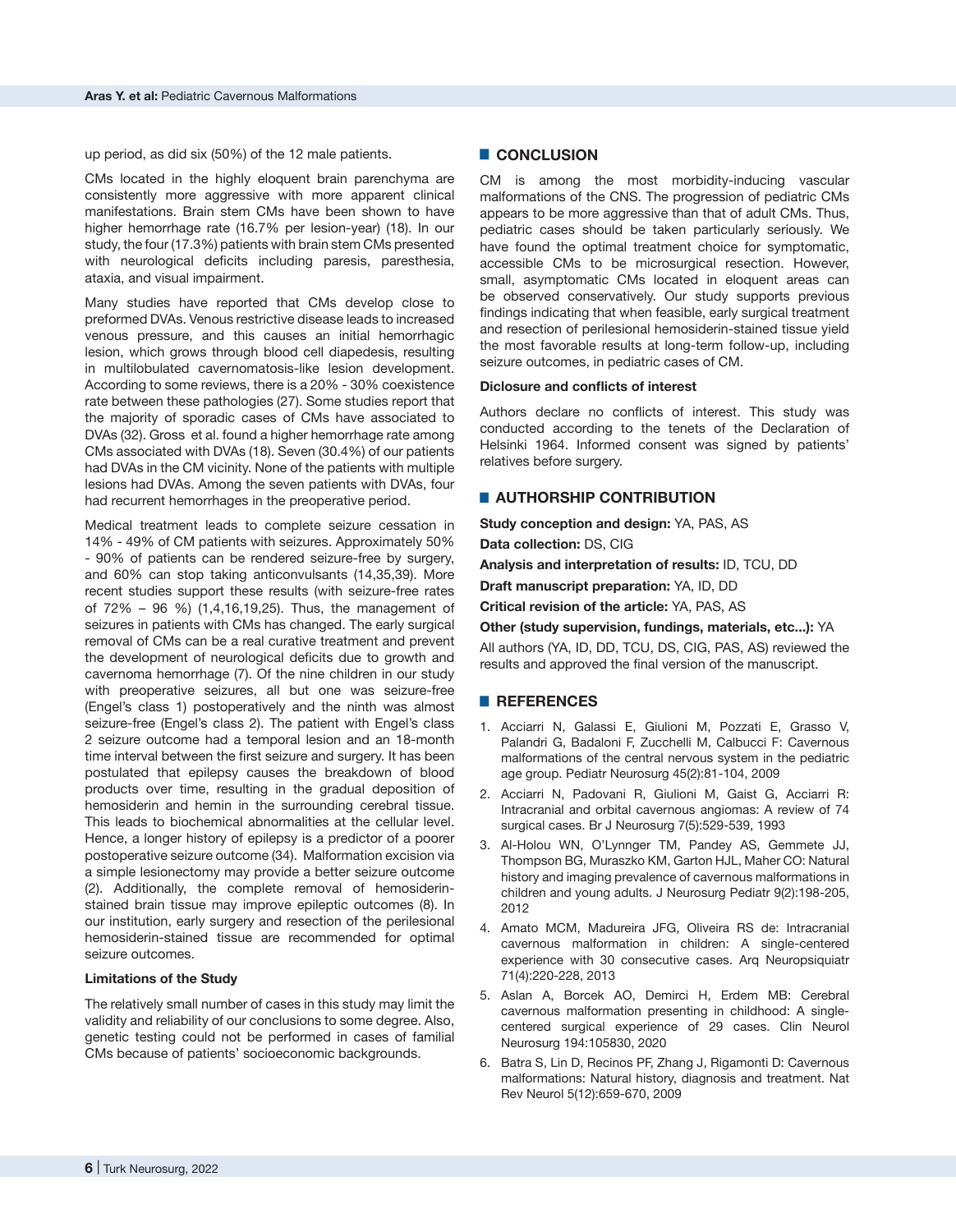up period, as did six (50%) of the 12 male patients.

CMs located in the highly eloquent brain parenchyma are consistently more aggressive with more apparent clinical manifestations. Brain stem CMs have been shown to have higher hemorrhage rate (16.7% per lesion-year) (18). In our study, the four (17.3%) patients with brain stem CMs presented with neurological deficits including paresis, paresthesia, ataxia, and visual impairment.

Many studies have reported that CMs develop close to preformed DVAs. Venous restrictive disease leads to increased venous pressure, and this causes an initial hemorrhagic lesion, which grows through blood cell diapedesis, resulting in multilobulated cavernomatosis-like lesion development. According to some reviews, there is a 20% - 30% coexistence rate between these pathologies (27). Some studies report that the majority of sporadic cases of CMs have associated to DVAs (32). Gross et al. found a higher hemorrhage rate among CMs associated with DVAs (18). Seven (30.4%) of our patients had DVAs in the CM vicinity. None of the patients with multiple lesions had DVAs. Among the seven patients with DVAs, four had recurrent hemorrhages in the preoperative period.

Medical treatment leads to complete seizure cessation in 14% - 49% of CM patients with seizures. Approximately 50% - 90% of patients can be rendered seizure-free by surgery, and 60% can stop taking anticonvulsants (14,35,39). More recent studies support these results (with seizure-free rates of 72% – 96 %) (1,4,16,19,25). Thus, the management of seizures in patients with CMs has changed. The early surgical removal of CMs can be a real curative treatment and prevent the development of neurological deficits due to growth and cavernoma hemorrhage (7). Of the nine children in our study with preoperative seizures, all but one was seizure-free (Engel's class 1) postoperatively and the ninth was almost seizure-free (Engel's class 2). The patient with Engel's class 2 seizure outcome had a temporal lesion and an 18-month time interval between the first seizure and surgery. It has been postulated that epilepsy causes the breakdown of blood products over time, resulting in the gradual deposition of hemosiderin and hemin in the surrounding cerebral tissue. This leads to biochemical abnormalities at the cellular level. Hence, a longer history of epilepsy is a predictor of a poorer postoperative seizure outcome (34). Malformation excision via a simple lesionectomy may provide a better seizure outcome (2). Additionally, the complete removal of hemosiderinstained brain tissue may improve epileptic outcomes (8). In our institution, early surgery and resection of the perilesional hemosiderin-stained tissue are recommended for optimal seizure outcomes.

#### **Limitations of the Study**

The relatively small number of cases in this study may limit the validity and reliability of our conclusions to some degree. Also, genetic testing could not be performed in cases of familial CMs because of patients' socioeconomic backgrounds.

# █ **CONCLUSION**

CM is among the most morbidity-inducing vascular malformations of the CNS. The progression of pediatric CMs appears to be more aggressive than that of adult CMs. Thus, pediatric cases should be taken particularly seriously. We have found the optimal treatment choice for symptomatic, accessible CMs to be microsurgical resection. However, small, asymptomatic CMs located in eloquent areas can be observed conservatively. Our study supports previous findings indicating that when feasible, early surgical treatment and resection of perilesional hemosiderin-stained tissue yield the most favorable results at long-term follow-up, including seizure outcomes, in pediatric cases of CM.

#### **Diclosure and conflicts of interest**

Authors declare no conflicts of interest. This study was conducted according to the tenets of the Declaration of Helsinki 1964. Informed consent was signed by patients' relatives before surgery.

# **E** AUTHORSHIP CONTRIBUTION

**Study conception and design:** YA, PAS, AS **Data collection:** DS, CIG

**Analysis and interpretation of results:** ID, TCU, DD

**Draft manuscript preparation:** YA, ID, DD

**Critical revision of the article:** YA, PAS, AS

#### **Other (study supervision, fundings, materials, etc...):** YA

All authors (YA, ID, DD, TCU, DS, CIG, PAS, AS) reviewed the results and approved the final version of the manuscript.

# █ **REFERENCES**

- 1. Acciarri N, Galassi E, Giulioni M, Pozzati E, Grasso V, Palandri G, Badaloni F, Zucchelli M, Calbucci F: Cavernous malformations of the central nervous system in the pediatric age group. Pediatr Neurosurg 45(2):81-104, 2009
- 2. Acciarri N, Padovani R, Giulioni M, Gaist G, Acciarri R: Intracranial and orbital cavernous angiomas: A review of 74 surgical cases. Br J Neurosurg 7(5):529-539, 1993
- 3. Al-Holou WN, O'Lynnger TM, Pandey AS, Gemmete JJ, Thompson BG, Muraszko KM, Garton HJL, Maher CO: Natural history and imaging prevalence of cavernous malformations in children and young adults. J Neurosurg Pediatr 9(2):198-205, 2012
- 4. Amato MCM, Madureira JFG, Oliveira RS de: Intracranial cavernous malformation in children: A single-centered experience with 30 consecutive cases. Arq Neuropsiquiatr 71(4):220-228, 2013
- 5. Aslan A, Borcek AO, Demirci H, Erdem MB: Cerebral cavernous malformation presenting in childhood: A singlecentered surgical experience of 29 cases. Clin Neurol Neurosurg 194:105830, 2020
- 6. Batra S, Lin D, Recinos PF, Zhang J, Rigamonti D: Cavernous malformations: Natural history, diagnosis and treatment. Nat Rev Neurol 5(12):659-670, 2009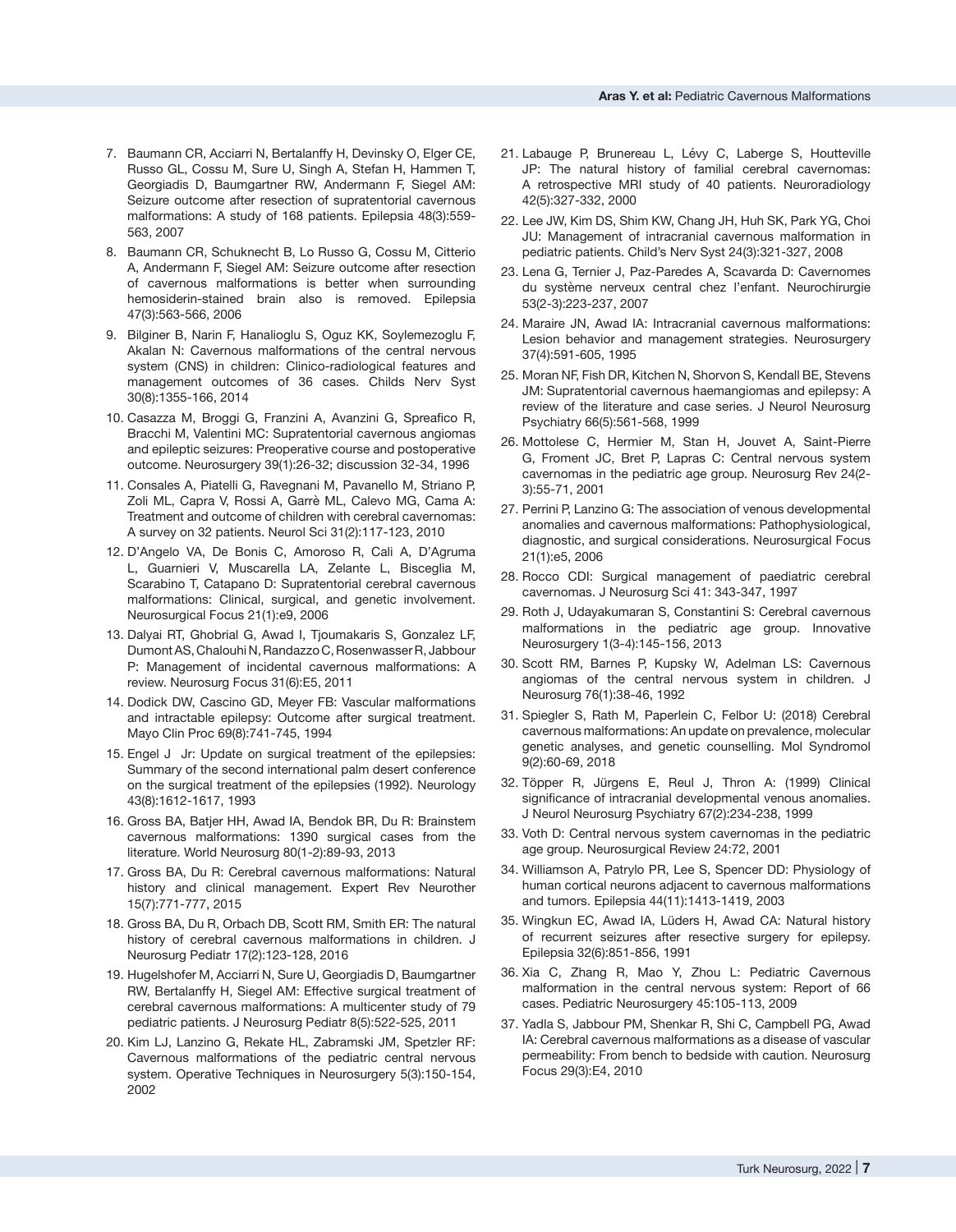- 7. Baumann CR, Acciarri N, Bertalanffy H, Devinsky O, Elger CE, Russo GL, Cossu M, Sure U, Singh A, Stefan H, Hammen T, Georgiadis D, Baumgartner RW, Andermann F, Siegel AM: Seizure outcome after resection of supratentorial cavernous malformations: A study of 168 patients. Epilepsia 48(3):559- 563, 2007
- 8. Baumann CR, Schuknecht B, Lo Russo G, Cossu M, Citterio A, Andermann F, Siegel AM: Seizure outcome after resection of cavernous malformations is better when surrounding hemosiderin-stained brain also is removed. Epilepsia 47(3):563-566, 2006
- 9. Bilginer B, Narin F, Hanalioglu S, Oguz KK, Soylemezoglu F, Akalan N: Cavernous malformations of the central nervous system (CNS) in children: Clinico-radiological features and management outcomes of 36 cases. Childs Nerv Syst 30(8):1355-166, 2014
- 10. Casazza M, Broggi G, Franzini A, Avanzini G, Spreafico R, Bracchi M, Valentini MC: Supratentorial cavernous angiomas and epileptic seizures: Preoperative course and postoperative outcome. Neurosurgery 39(1):26-32; discussion 32-34, 1996
- 11. Consales A, Piatelli G, Ravegnani M, Pavanello M, Striano P, Zoli ML, Capra V, Rossi A, Garrè ML, Calevo MG, Cama A: Treatment and outcome of children with cerebral cavernomas: A survey on 32 patients. Neurol Sci 31(2):117-123, 2010
- 12. D'Angelo VA, De Bonis C, Amoroso R, Cali A, D'Agruma L, Guarnieri V, Muscarella LA, Zelante L, Bisceglia M, Scarabino T, Catapano D: Supratentorial cerebral cavernous malformations: Clinical, surgical, and genetic involvement. Neurosurgical Focus 21(1):e9, 2006
- 13. Dalyai RT, Ghobrial G, Awad I, Tjoumakaris S, Gonzalez LF, Dumont AS, Chalouhi N, Randazzo C, Rosenwasser R, Jabbour P: Management of incidental cavernous malformations: A review. Neurosurg Focus 31(6):E5, 2011
- 14. Dodick DW, Cascino GD, Meyer FB: Vascular malformations and intractable epilepsy: Outcome after surgical treatment. Mayo Clin Proc 69(8):741-745, 1994
- 15. Engel J Jr: Update on surgical treatment of the epilepsies: Summary of the second international palm desert conference on the surgical treatment of the epilepsies (1992). Neurology 43(8):1612-1617, 1993
- 16. Gross BA, Batjer HH, Awad IA, Bendok BR, Du R: Brainstem cavernous malformations: 1390 surgical cases from the literature. World Neurosurg 80(1-2):89-93, 2013
- 17. Gross BA, Du R: Cerebral cavernous malformations: Natural history and clinical management. Expert Rev Neurother 15(7):771-777, 2015
- 18. Gross BA, Du R, Orbach DB, Scott RM, Smith ER: The natural history of cerebral cavernous malformations in children. J Neurosurg Pediatr 17(2):123-128, 2016
- 19. Hugelshofer M, Acciarri N, Sure U, Georgiadis D, Baumgartner RW, Bertalanffy H, Siegel AM: Effective surgical treatment of cerebral cavernous malformations: A multicenter study of 79 pediatric patients. J Neurosurg Pediatr 8(5):522-525, 2011
- 20. Kim LJ, Lanzino G, Rekate HL, Zabramski JM, Spetzler RF: Cavernous malformations of the pediatric central nervous system. Operative Techniques in Neurosurgery 5(3):150-154, 2002
- 21. Labauge P, Brunereau L, Lévy C, Laberge S, Houtteville JP: The natural history of familial cerebral cavernomas: A retrospective MRI study of 40 patients. Neuroradiology 42(5):327-332, 2000
- 22. Lee JW, Kim DS, Shim KW, Chang JH, Huh SK, Park YG, Choi JU: Management of intracranial cavernous malformation in pediatric patients. Child's Nerv Syst 24(3):321-327, 2008
- 23. Lena G, Ternier J, Paz-Paredes A, Scavarda D: Cavernomes du système nerveux central chez l'enfant. Neurochirurgie 53(2-3):223-237, 2007
- 24. Maraire JN, Awad IA: Intracranial cavernous malformations: Lesion behavior and management strategies. Neurosurgery 37(4):591-605, 1995
- 25. Moran NF, Fish DR, Kitchen N, Shorvon S, Kendall BE, Stevens JM: Supratentorial cavernous haemangiomas and epilepsy: A review of the literature and case series. J Neurol Neurosurg Psychiatry 66(5):561-568, 1999
- 26. Mottolese C, Hermier M, Stan H, Jouvet A, Saint-Pierre G, Froment JC, Bret P, Lapras C: Central nervous system cavernomas in the pediatric age group. Neurosurg Rev 24(2- 3):55-71, 2001
- 27. Perrini P, Lanzino G: The association of venous developmental anomalies and cavernous malformations: Pathophysiological, diagnostic, and surgical considerations. Neurosurgical Focus 21(1):e5, 2006
- 28. Rocco CDI: Surgical management of paediatric cerebral cavernomas. J Neurosurg Sci 41: 343-347, 1997
- 29. Roth J, Udayakumaran S, Constantini S: Cerebral cavernous malformations in the pediatric age group. Innovative Neurosurgery 1(3-4):145-156, 2013
- 30. Scott RM, Barnes P, Kupsky W, Adelman LS: Cavernous angiomas of the central nervous system in children. J Neurosurg 76(1):38-46, 1992
- 31. Spiegler S, Rath M, Paperlein C, Felbor U: (2018) Cerebral cavernous malformations: An update on prevalence, molecular genetic analyses, and genetic counselling. Mol Syndromol 9(2):60-69, 2018
- 32. Töpper R, Jürgens E, Reul J, Thron A: (1999) Clinical significance of intracranial developmental venous anomalies. J Neurol Neurosurg Psychiatry 67(2):234-238, 1999
- 33. Voth D: Central nervous system cavernomas in the pediatric age group. Neurosurgical Review 24:72, 2001
- 34. Williamson A, Patrylo PR, Lee S, Spencer DD: Physiology of human cortical neurons adjacent to cavernous malformations and tumors. Epilepsia 44(11):1413-1419, 2003
- 35. Wingkun EC, Awad IA, Lüders H, Awad CA: Natural history of recurrent seizures after resective surgery for epilepsy. Epilepsia 32(6):851-856, 1991
- 36. Xia C, Zhang R, Mao Y, Zhou L: Pediatric Cavernous malformation in the central nervous system: Report of 66 cases. Pediatric Neurosurgery 45:105-113, 2009
- 37. Yadla S, Jabbour PM, Shenkar R, Shi C, Campbell PG, Awad IA: Cerebral cavernous malformations as a disease of vascular permeability: From bench to bedside with caution. Neurosurg Focus 29(3):E4, 2010